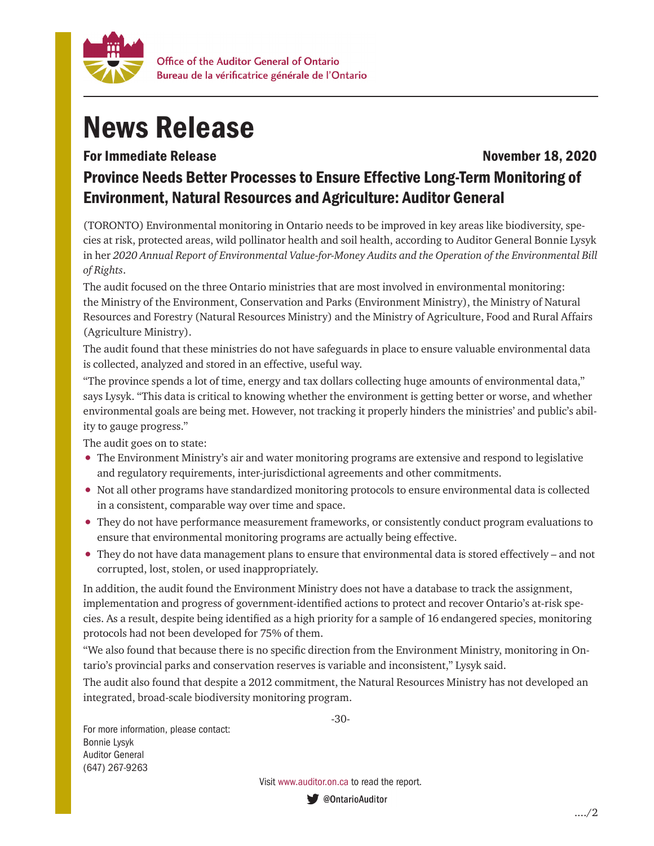

## News Release

## For Immediate Release November 18, 2020 Province Needs Better Processes to Ensure Effective Long-Term Monitoring of Environment, Natural Resources and Agriculture: Auditor General

(TORONTO) Environmental monitoring in Ontario needs to be improved in key areas like biodiversity, species at risk, protected areas, wild pollinator health and soil health, according to Auditor General Bonnie Lysyk in her *2020 Annual Report of Environmental Value-for-Money Audits and the Operation of the Environmental Bill of Rights*.

The audit focused on the three Ontario ministries that are most involved in environmental monitoring: the Ministry of the Environment, Conservation and Parks (Environment Ministry), the Ministry of Natural Resources and Forestry (Natural Resources Ministry) and the Ministry of Agriculture, Food and Rural Affairs (Agriculture Ministry).

The audit found that these ministries do not have safeguards in place to ensure valuable environmental data is collected, analyzed and stored in an effective, useful way.

"The province spends a lot of time, energy and tax dollars collecting huge amounts of environmental data," says Lysyk. "This data is critical to knowing whether the environment is getting better or worse, and whether environmental goals are being met. However, not tracking it properly hinders the ministries' and public's ability to gauge progress."

The audit goes on to state:

- The Environment Ministry's air and water monitoring programs are extensive and respond to legislative and regulatory requirements, inter-jurisdictional agreements and other commitments.
- Not all other programs have standardized monitoring protocols to ensure environmental data is collected in a consistent, comparable way over time and space.
- They do not have performance measurement frameworks, or consistently conduct program evaluations to ensure that environmental monitoring programs are actually being effective.
- They do not have data management plans to ensure that environmental data is stored effectively and not corrupted, lost, stolen, or used inappropriately.

In addition, the audit found the Environment Ministry does not have a database to track the assignment, implementation and progress of government-identified actions to protect and recover Ontario's at-risk species. As a result, despite being identified as a high priority for a sample of 16 endangered species, monitoring protocols had not been developed for 75% of them.

"We also found that because there is no specific direction from the Environment Ministry, monitoring in Ontario's provincial parks and conservation reserves is variable and inconsistent," Lysyk said.

The audit also found that despite a 2012 commitment, the Natural Resources Ministry has not developed an integrated, broad-scale biodiversity monitoring program.

-30-

For more information, please contact: Bonnie Lysyk Auditor General (647) 267-9263

Visit www.auditor.on.ca to read the report.

● @OntarioAuditor